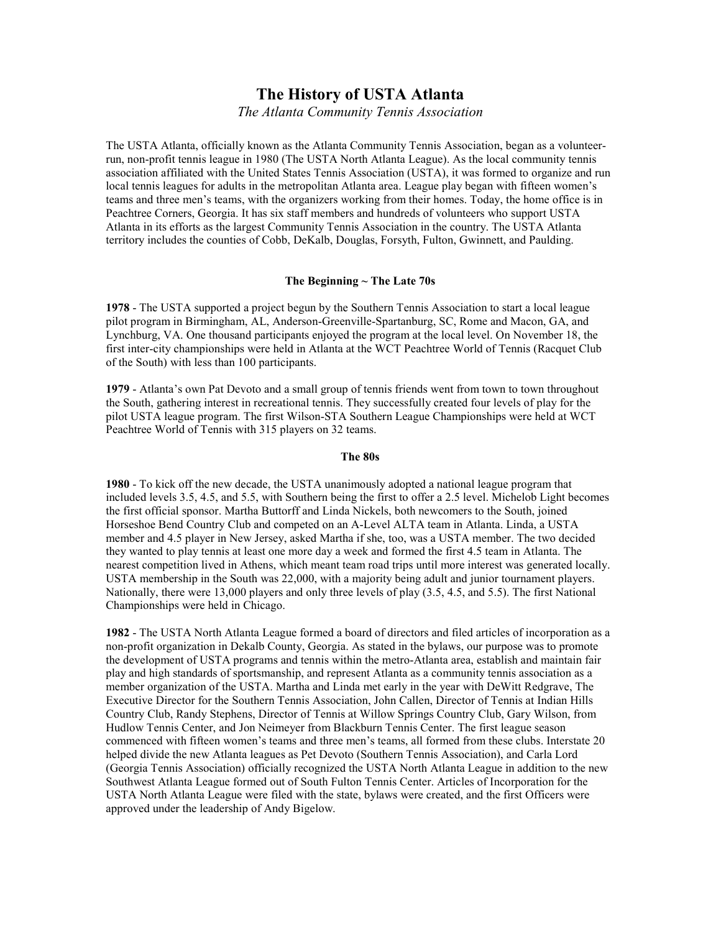# **The History of USTA Atlanta**

*The Atlanta Community Tennis Association* 

The USTA Atlanta, officially known as the Atlanta Community Tennis Association, began as a volunteerrun, non-profit tennis league in 1980 (The USTA North Atlanta League). As the local community tennis association affiliated with the United States Tennis Association (USTA), it was formed to organize and run local tennis leagues for adults in the metropolitan Atlanta area. League play began with fifteen women's teams and three men's teams, with the organizers working from their homes. Today, the home office is in Peachtree Corners, Georgia. It has six staff members and hundreds of volunteers who support USTA Atlanta in its efforts as the largest Community Tennis Association in the country. The USTA Atlanta territory includes the counties of Cobb, DeKalb, Douglas, Forsyth, Fulton, Gwinnett, and Paulding.

# **The Beginning ~ The Late 70s**

**1978** - The USTA supported a project begun by the Southern Tennis Association to start a local league pilot program in Birmingham, AL, Anderson-Greenville-Spartanburg, SC, Rome and Macon, GA, and Lynchburg, VA. One thousand participants enjoyed the program at the local level. On November 18, the first inter-city championships were held in Atlanta at the WCT Peachtree World of Tennis (Racquet Club of the South) with less than 100 participants.

**1979** - Atlanta's own Pat Devoto and a small group of tennis friends went from town to town throughout the South, gathering interest in recreational tennis. They successfully created four levels of play for the pilot USTA league program. The first Wilson-STA Southern League Championships were held at WCT Peachtree World of Tennis with 315 players on 32 teams.

#### **The 80s**

**1980** - To kick off the new decade, the USTA unanimously adopted a national league program that included levels 3.5, 4.5, and 5.5, with Southern being the first to offer a 2.5 level. Michelob Light becomes the first official sponsor. Martha Buttorff and Linda Nickels, both newcomers to the South, joined Horseshoe Bend Country Club and competed on an A-Level ALTA team in Atlanta. Linda, a USTA member and 4.5 player in New Jersey, asked Martha if she, too, was a USTA member. The two decided they wanted to play tennis at least one more day a week and formed the first 4.5 team in Atlanta. The nearest competition lived in Athens, which meant team road trips until more interest was generated locally. USTA membership in the South was 22,000, with a majority being adult and junior tournament players. Nationally, there were 13,000 players and only three levels of play (3.5, 4.5, and 5.5). The first National Championships were held in Chicago.

**1982** - The USTA North Atlanta League formed a board of directors and filed articles of incorporation as a non-profit organization in Dekalb County, Georgia. As stated in the bylaws, our purpose was to promote the development of USTA programs and tennis within the metro-Atlanta area, establish and maintain fair play and high standards of sportsmanship, and represent Atlanta as a community tennis association as a member organization of the USTA. Martha and Linda met early in the year with DeWitt Redgrave, The Executive Director for the Southern Tennis Association, John Callen, Director of Tennis at Indian Hills Country Club, Randy Stephens, Director of Tennis at Willow Springs Country Club, Gary Wilson, from Hudlow Tennis Center, and Jon Neimeyer from Blackburn Tennis Center. The first league season commenced with fifteen women's teams and three men's teams, all formed from these clubs. Interstate 20 helped divide the new Atlanta leagues as Pet Devoto (Southern Tennis Association), and Carla Lord (Georgia Tennis Association) officially recognized the USTA North Atlanta League in addition to the new Southwest Atlanta League formed out of South Fulton Tennis Center. Articles of Incorporation for the USTA North Atlanta League were filed with the state, bylaws were created, and the first Officers were approved under the leadership of Andy Bigelow.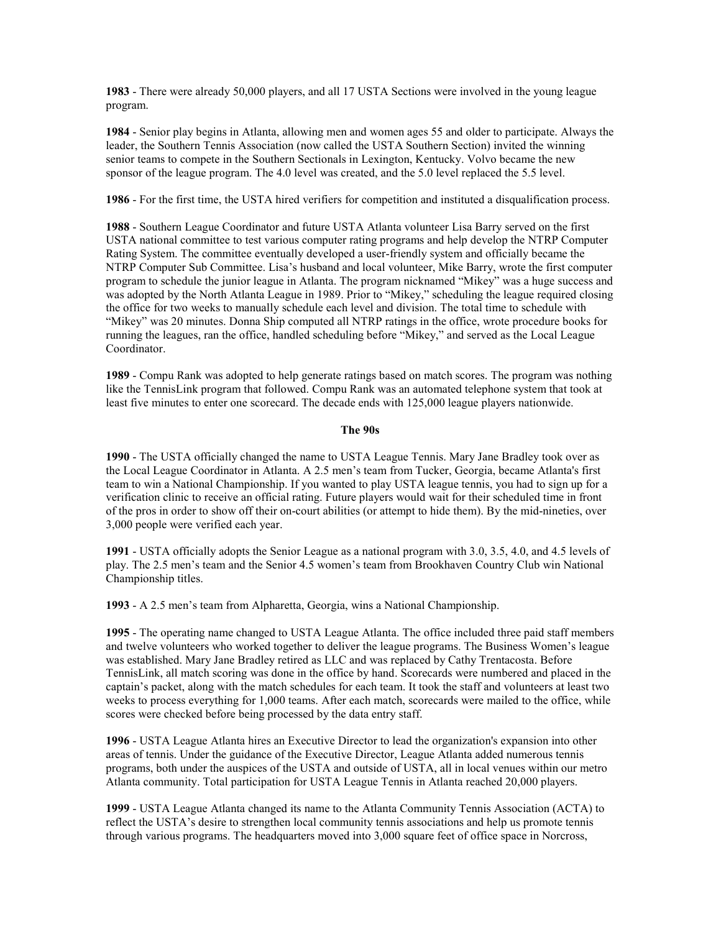**1983** - There were already 50,000 players, and all 17 USTA Sections were involved in the young league program.

**1984** - Senior play begins in Atlanta, allowing men and women ages 55 and older to participate. Always the leader, the Southern Tennis Association (now called the USTA Southern Section) invited the winning senior teams to compete in the Southern Sectionals in Lexington, Kentucky. Volvo became the new sponsor of the league program. The 4.0 level was created, and the 5.0 level replaced the 5.5 level.

**1986** - For the first time, the USTA hired verifiers for competition and instituted a disqualification process.

**1988** - Southern League Coordinator and future USTA Atlanta volunteer Lisa Barry served on the first USTA national committee to test various computer rating programs and help develop the NTRP Computer Rating System. The committee eventually developed a user-friendly system and officially became the NTRP Computer Sub Committee. Lisa's husband and local volunteer, Mike Barry, wrote the first computer program to schedule the junior league in Atlanta. The program nicknamed "Mikey" was a huge success and was adopted by the North Atlanta League in 1989. Prior to "Mikey," scheduling the league required closing the office for two weeks to manually schedule each level and division. The total time to schedule with "Mikey" was 20 minutes. Donna Ship computed all NTRP ratings in the office, wrote procedure books for running the leagues, ran the office, handled scheduling before "Mikey," and served as the Local League Coordinator.

**1989** - Compu Rank was adopted to help generate ratings based on match scores. The program was nothing like the TennisLink program that followed. Compu Rank was an automated telephone system that took at least five minutes to enter one scorecard. The decade ends with 125,000 league players nationwide.

# **The 90s**

**1990** - The USTA officially changed the name to USTA League Tennis. Mary Jane Bradley took over as the Local League Coordinator in Atlanta. A 2.5 men's team from Tucker, Georgia, became Atlanta's first team to win a National Championship. If you wanted to play USTA league tennis, you had to sign up for a verification clinic to receive an official rating. Future players would wait for their scheduled time in front of the pros in order to show off their on-court abilities (or attempt to hide them). By the mid-nineties, over 3,000 people were verified each year.

**1991** - USTA officially adopts the Senior League as a national program with 3.0, 3.5, 4.0, and 4.5 levels of play. The 2.5 men's team and the Senior 4.5 women's team from Brookhaven Country Club win National Championship titles.

**1993** - A 2.5 men's team from Alpharetta, Georgia, wins a National Championship.

**1995** - The operating name changed to USTA League Atlanta. The office included three paid staff members and twelve volunteers who worked together to deliver the league programs. The Business Women's league was established. Mary Jane Bradley retired as LLC and was replaced by Cathy Trentacosta. Before TennisLink, all match scoring was done in the office by hand. Scorecards were numbered and placed in the captain's packet, along with the match schedules for each team. It took the staff and volunteers at least two weeks to process everything for 1,000 teams. After each match, scorecards were mailed to the office, while scores were checked before being processed by the data entry staff.

**1996** - USTA League Atlanta hires an Executive Director to lead the organization's expansion into other areas of tennis. Under the guidance of the Executive Director, League Atlanta added numerous tennis programs, both under the auspices of the USTA and outside of USTA, all in local venues within our metro Atlanta community. Total participation for USTA League Tennis in Atlanta reached 20,000 players.

**1999** - USTA League Atlanta changed its name to the Atlanta Community Tennis Association (ACTA) to reflect the USTA's desire to strengthen local community tennis associations and help us promote tennis through various programs. The headquarters moved into 3,000 square feet of office space in Norcross,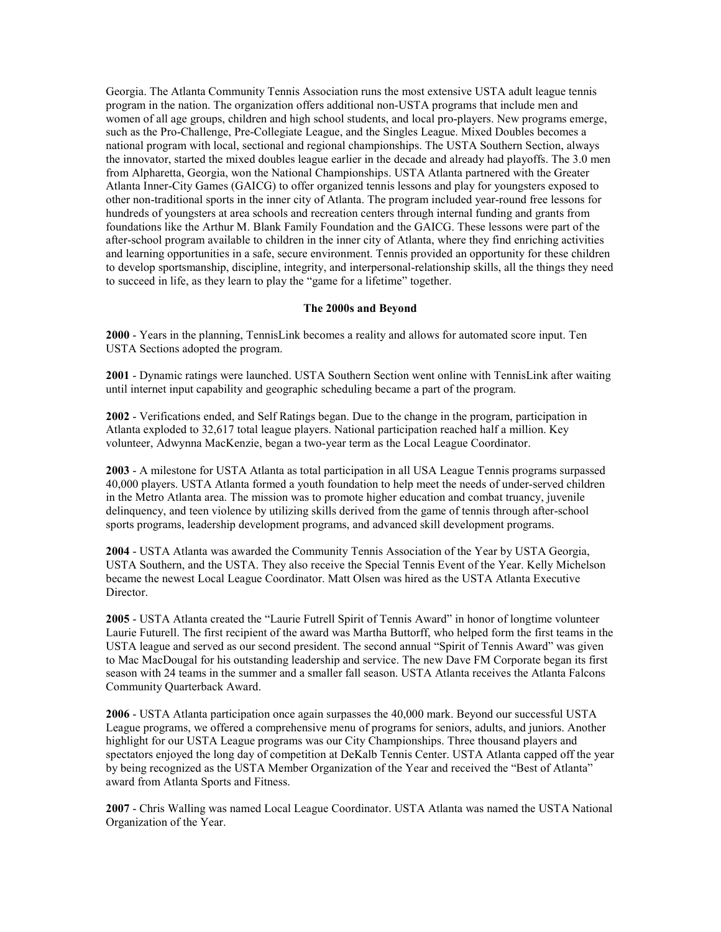Georgia. The Atlanta Community Tennis Association runs the most extensive USTA adult league tennis program in the nation. The organization offers additional non-USTA programs that include men and women of all age groups, children and high school students, and local pro-players. New programs emerge, such as the Pro-Challenge, Pre-Collegiate League, and the Singles League. Mixed Doubles becomes a national program with local, sectional and regional championships. The USTA Southern Section, always the innovator, started the mixed doubles league earlier in the decade and already had playoffs. The 3.0 men from Alpharetta, Georgia, won the National Championships. USTA Atlanta partnered with the Greater Atlanta Inner-City Games (GAICG) to offer organized tennis lessons and play for youngsters exposed to other non-traditional sports in the inner city of Atlanta. The program included year-round free lessons for hundreds of youngsters at area schools and recreation centers through internal funding and grants from foundations like the Arthur M. Blank Family Foundation and the GAICG. These lessons were part of the after-school program available to children in the inner city of Atlanta, where they find enriching activities and learning opportunities in a safe, secure environment. Tennis provided an opportunity for these children to develop sportsmanship, discipline, integrity, and interpersonal-relationship skills, all the things they need to succeed in life, as they learn to play the "game for a lifetime" together.

# **The 2000s and Beyond**

**2000** - Years in the planning, TennisLink becomes a reality and allows for automated score input. Ten USTA Sections adopted the program.

**2001** - Dynamic ratings were launched. USTA Southern Section went online with TennisLink after waiting until internet input capability and geographic scheduling became a part of the program.

**2002** - Verifications ended, and Self Ratings began. Due to the change in the program, participation in Atlanta exploded to 32,617 total league players. National participation reached half a million. Key volunteer, Adwynna MacKenzie, began a two-year term as the Local League Coordinator.

**2003** - A milestone for USTA Atlanta as total participation in all USA League Tennis programs surpassed 40,000 players. USTA Atlanta formed a youth foundation to help meet the needs of under-served children in the Metro Atlanta area. The mission was to promote higher education and combat truancy, juvenile delinquency, and teen violence by utilizing skills derived from the game of tennis through after-school sports programs, leadership development programs, and advanced skill development programs.

**2004** - USTA Atlanta was awarded the Community Tennis Association of the Year by USTA Georgia, USTA Southern, and the USTA. They also receive the Special Tennis Event of the Year. Kelly Michelson became the newest Local League Coordinator. Matt Olsen was hired as the USTA Atlanta Executive Director.

**2005** - USTA Atlanta created the "Laurie Futrell Spirit of Tennis Award" in honor of longtime volunteer Laurie Futurell. The first recipient of the award was Martha Buttorff, who helped form the first teams in the USTA league and served as our second president. The second annual "Spirit of Tennis Award" was given to Mac MacDougal for his outstanding leadership and service. The new Dave FM Corporate began its first season with 24 teams in the summer and a smaller fall season. USTA Atlanta receives the Atlanta Falcons Community Quarterback Award.

**2006** - USTA Atlanta participation once again surpasses the 40,000 mark. Beyond our successful USTA League programs, we offered a comprehensive menu of programs for seniors, adults, and juniors. Another highlight for our USTA League programs was our City Championships. Three thousand players and spectators enjoyed the long day of competition at DeKalb Tennis Center. USTA Atlanta capped off the year by being recognized as the USTA Member Organization of the Year and received the "Best of Atlanta" award from Atlanta Sports and Fitness.

**2007** - Chris Walling was named Local League Coordinator. USTA Atlanta was named the USTA National Organization of the Year.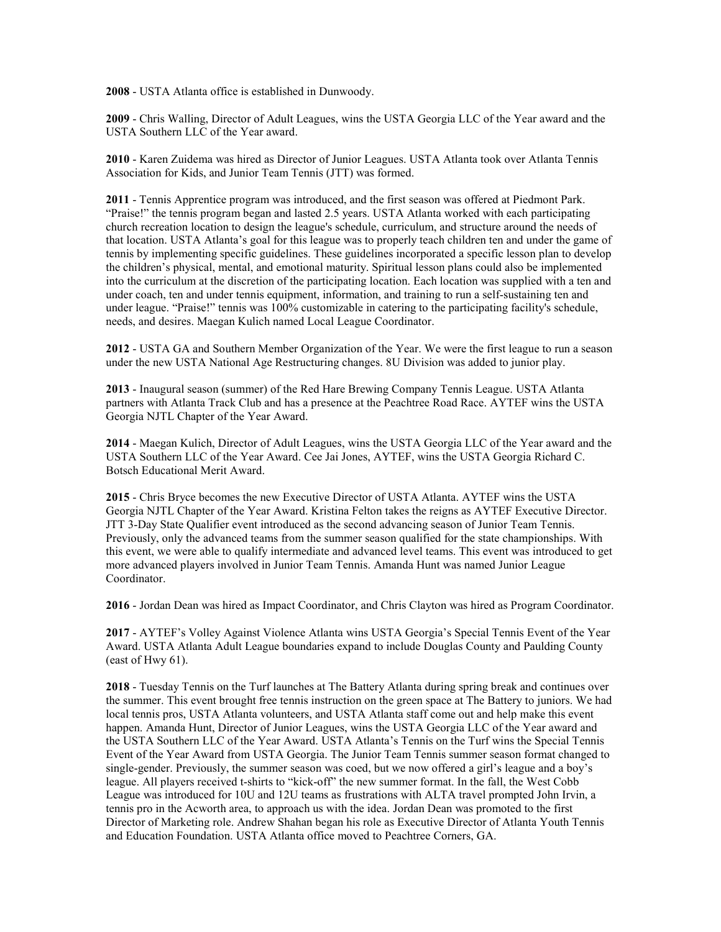**2008** - USTA Atlanta office is established in Dunwoody.

**2009** - Chris Walling, Director of Adult Leagues, wins the USTA Georgia LLC of the Year award and the USTA Southern LLC of the Year award.

**2010** - Karen Zuidema was hired as Director of Junior Leagues. USTA Atlanta took over Atlanta Tennis Association for Kids, and Junior Team Tennis (JTT) was formed.

**2011** - Tennis Apprentice program was introduced, and the first season was offered at Piedmont Park. "Praise!" the tennis program began and lasted 2.5 years. USTA Atlanta worked with each participating church recreation location to design the league's schedule, curriculum, and structure around the needs of that location. USTA Atlanta's goal for this league was to properly teach children ten and under the game of tennis by implementing specific guidelines. These guidelines incorporated a specific lesson plan to develop the children's physical, mental, and emotional maturity. Spiritual lesson plans could also be implemented into the curriculum at the discretion of the participating location. Each location was supplied with a ten and under coach, ten and under tennis equipment, information, and training to run a self-sustaining ten and under league. "Praise!" tennis was 100% customizable in catering to the participating facility's schedule, needs, and desires. Maegan Kulich named Local League Coordinator.

**2012** - USTA GA and Southern Member Organization of the Year. We were the first league to run a season under the new USTA National Age Restructuring changes. 8U Division was added to junior play.

**2013** - Inaugural season (summer) of the Red Hare Brewing Company Tennis League. USTA Atlanta partners with Atlanta Track Club and has a presence at the Peachtree Road Race. AYTEF wins the USTA Georgia NJTL Chapter of the Year Award.

**2014** - Maegan Kulich, Director of Adult Leagues, wins the USTA Georgia LLC of the Year award and the USTA Southern LLC of the Year Award. Cee Jai Jones, AYTEF, wins the USTA Georgia Richard C. Botsch Educational Merit Award.

**2015** - Chris Bryce becomes the new Executive Director of USTA Atlanta. AYTEF wins the USTA Georgia NJTL Chapter of the Year Award. Kristina Felton takes the reigns as AYTEF Executive Director. JTT 3-Day State Qualifier event introduced as the second advancing season of Junior Team Tennis. Previously, only the advanced teams from the summer season qualified for the state championships. With this event, we were able to qualify intermediate and advanced level teams. This event was introduced to get more advanced players involved in Junior Team Tennis. Amanda Hunt was named Junior League Coordinator.

**2016** - Jordan Dean was hired as Impact Coordinator, and Chris Clayton was hired as Program Coordinator.

**2017** - AYTEF's Volley Against Violence Atlanta wins USTA Georgia's Special Tennis Event of the Year Award. USTA Atlanta Adult League boundaries expand to include Douglas County and Paulding County (east of Hwy 61).

**2018** - Tuesday Tennis on the Turf launches at The Battery Atlanta during spring break and continues over the summer. This event brought free tennis instruction on the green space at The Battery to juniors. We had local tennis pros, USTA Atlanta volunteers, and USTA Atlanta staff come out and help make this event happen. Amanda Hunt, Director of Junior Leagues, wins the USTA Georgia LLC of the Year award and the USTA Southern LLC of the Year Award. USTA Atlanta's Tennis on the Turf wins the Special Tennis Event of the Year Award from USTA Georgia. The Junior Team Tennis summer season format changed to single-gender. Previously, the summer season was coed, but we now offered a girl's league and a boy's league. All players received t-shirts to "kick-off" the new summer format. In the fall, the West Cobb League was introduced for 10U and 12U teams as frustrations with ALTA travel prompted John Irvin, a tennis pro in the Acworth area, to approach us with the idea. Jordan Dean was promoted to the first Director of Marketing role. Andrew Shahan began his role as Executive Director of Atlanta Youth Tennis and Education Foundation. USTA Atlanta office moved to Peachtree Corners, GA.